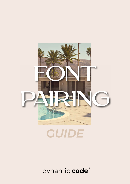

## *GUIDE*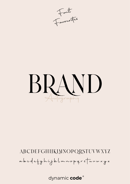Favourites

### BRA. ND<br>VD Wography

ABCDEFGHIJKIMNOPQRSTUVWXYZ abcdefghijklmnopgrstuuwxyz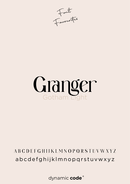Favourites

# Granger Gotham T

#### **ABCDEFGHIJKLMNOPQRSTUVWXYZ** abcdefghijklmnopgrstuvwxyz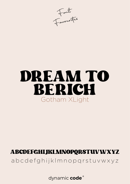Favourites

## DREAM TO **RERICH** Gotham XLight

#### ABCDEFGHIJKLMNOPQRSTUVWXYZ

abcdefghijkImnopgrstuvwxyz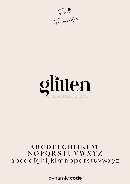Favourites



#### ABCDEFGHIJKLM-NOPQRSTUVWXYZ abcdefghijklmnopqrstuvwxyz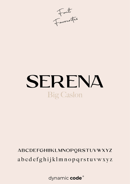Favourités

# SERENA **Big Caslon**

### ABCDEFGHIJKLMNOPQRSTUVWXYZ abcdefghijklmnopqrstuvwxyz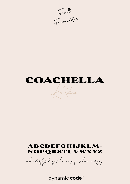Favourités

### COACHELLA

Lartfina

#### **ABCDEFGHIJKLM-**NOPQRSTUVWXYZ

abodef ghijtlmnopprstuvwyg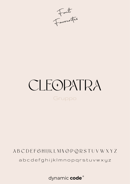Favourites

## CLEOPATRA Gruppo

### ABCDEFGHIJKLMNOPQRSTUVWXYZ abcdefghijklmnopqrstuvwxyz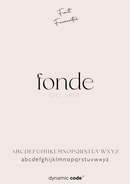Favourites

# fonde GILL SANS

#### ABCDEFGHIJKLMNOPQRSTUVWXYZ abcdefghijklmnopqrstuvwxyz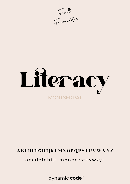



#### ABCDEFGHIJKLMNOPQRSTUVWXYZ

abcdefghijklmnopqrstuvwxyz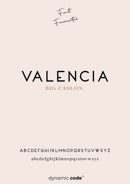Favourites

### VALENCIA **BIG CASLON**

#### ABCDEFGHIJKLMNOPQRSTUVWXYZ abcdefghijklmnopqrstuvwxyz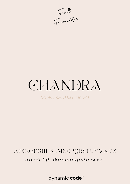Favourités

## **GHANDRA MONTSERRAT LIGHT**

#### ABCDEFGHIJKLMNOPQRSTUVWXYZ abcdefghijklmnopgrstuvwxyz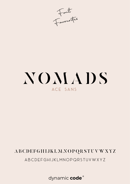Favourites

## NOMADS ACE SANS

#### **ABCDEFGHIJKLMNOPQRSTUVWXYZ**

ABCDEFGHIJKLMNOPQRSTUVWXYZ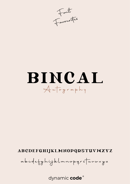Font

## BINCAL Autography

#### ABCDEFGHIJKLMNOPQRSTUVWXYZ

abcdefghijklmnopgrstuuwxyz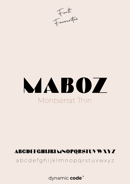Favourites

# MABOZ Montserrat Thin

#### ABCDEFGHIJKLMNOPQRSTUVWXYZ

abcdefghijklmnopgrstuvwxyz